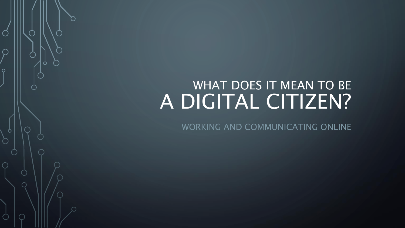### WHAT DOES IT MEAN TO BE A DIGITAL CITIZEN?

 $\overline{O}$ 

Ò

WORKING AND COMMUNICATING ONLINE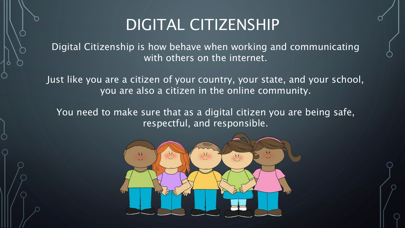### DIGITAL CITIZENSHIP

Digital Citizenship is how behave when working and communicating with others on the internet.

Just like you are a citizen of your country, your state, and your school, you are also a citizen in the online community.

You need to make sure that as a digital citizen you are being safe, respectful, and responsible.

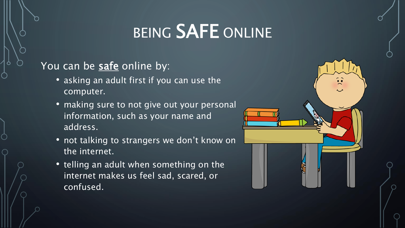# BEING SAFE ONLINE

#### You can be **safe** online by:

- asking an adult first if you can use the computer.
- making sure to not give out your personal information, such as your name and address.
- not talking to strangers we don't know on the internet.
- telling an adult when something on the internet makes us feel sad, scared, or confused.

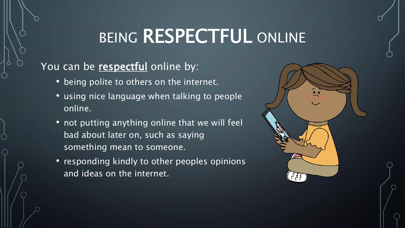# BEING RESPECTFUL ONLINE

#### You can be respectful online by:

- being polite to others on the internet.
- using nice language when talking to people online.
- not putting anything online that we will feel bad about later on, such as saying something mean to someone.
- responding kindly to other peoples opinions and ideas on the internet.